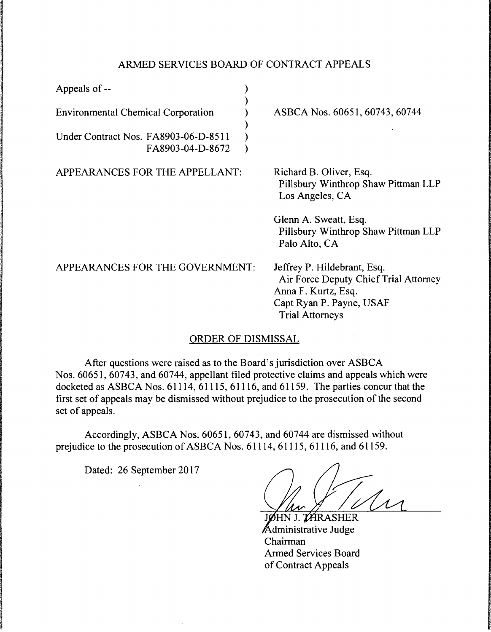## ARMED SERVICES BOARD OF CONTRACT APPEALS

| Appeals of --                                            |                                                                                                                                                   |
|----------------------------------------------------------|---------------------------------------------------------------------------------------------------------------------------------------------------|
| <b>Environmental Chemical Corporation</b>                | ASBCA Nos. 60651, 60743, 60744                                                                                                                    |
| Under Contract Nos. FA8903-06-D-8511<br>FA8903-04-D-8672 |                                                                                                                                                   |
| APPEARANCES FOR THE APPELLANT:                           | Richard B. Oliver, Esq.<br>Pillsbury Winthrop Shaw Pittman LLP<br>Los Angeles, CA                                                                 |
|                                                          | Glenn A. Sweatt, Esq.<br>Pillsbury Winthrop Shaw Pittman LLP<br>Palo Alto, CA                                                                     |
| APPEARANCES FOR THE GOVERNMENT:                          | Jeffrey P. Hildebrant, Esq.<br>Air Force Deputy Chief Trial Attorney<br>Anna F. Kurtz, Esq.<br>Capt Ryan P. Payne, USAF<br><b>Trial Attorneys</b> |

## ORDER OF DISMISSAL

After questions were raised as to the Board's jurisdiction over ASBCA Nos. 60651, 60743, and 60744, appellant filed protective claims and appeals which were docketed as ASBCA Nos. 61114, 61115, 61116, and 61159. The parties concur that the first set of appeals may be dismissed without prejudice to the prosecution of the second set of appeals.

Accordingly, ASBCA Nos. 60651, 60743, and 60744 are dismissed without prejudice to the prosecution of ASBCA Nos. 61114, 61115, 61116, and 61159.

Dated: 26 September 2017

JØHN J. THRASHER Administrative Judge Chairman Armed Services Board of Contract Appeals